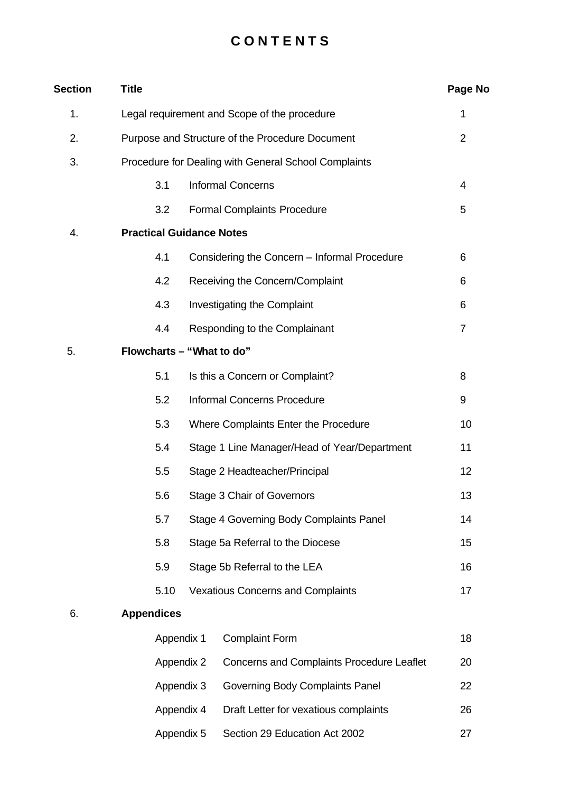# **C O N T E N T S**

| <b>Section</b> | <b>Title</b>                                         |                                                 |                                                  |                |  |
|----------------|------------------------------------------------------|-------------------------------------------------|--------------------------------------------------|----------------|--|
| 1.             |                                                      | Legal requirement and Scope of the procedure    |                                                  |                |  |
| 2.             |                                                      | Purpose and Structure of the Procedure Document |                                                  |                |  |
| 3.             | Procedure for Dealing with General School Complaints |                                                 |                                                  |                |  |
|                | 3.1                                                  |                                                 | <b>Informal Concerns</b>                         | 4              |  |
|                | 3.2                                                  |                                                 | <b>Formal Complaints Procedure</b>               | 5              |  |
| 4.             | <b>Practical Guidance Notes</b>                      |                                                 |                                                  |                |  |
|                | 4.1                                                  |                                                 | Considering the Concern - Informal Procedure     | 6              |  |
|                | 4.2                                                  |                                                 | Receiving the Concern/Complaint                  | 6              |  |
|                | 4.3                                                  |                                                 | Investigating the Complaint                      | 6              |  |
|                | 4.4                                                  |                                                 | Responding to the Complainant                    | $\overline{7}$ |  |
| 5.             | Flowcharts - "What to do"                            |                                                 |                                                  |                |  |
|                | 5.1                                                  |                                                 | Is this a Concern or Complaint?                  | 8              |  |
|                | 5.2                                                  |                                                 | <b>Informal Concerns Procedure</b>               | 9              |  |
|                | 5.3                                                  |                                                 | Where Complaints Enter the Procedure             | 10             |  |
|                | 5.4                                                  |                                                 | Stage 1 Line Manager/Head of Year/Department     | 11             |  |
|                | 5.5                                                  | Stage 2 Headteacher/Principal                   |                                                  | 12             |  |
|                | 5.6                                                  |                                                 | Stage 3 Chair of Governors                       | 13             |  |
|                | 5.7                                                  |                                                 | Stage 4 Governing Body Complaints Panel          | 14             |  |
|                | 5.8                                                  |                                                 | Stage 5a Referral to the Diocese                 | 15             |  |
|                | 5.9                                                  |                                                 | Stage 5b Referral to the LEA                     | 16             |  |
|                | 5.10                                                 |                                                 | <b>Vexatious Concerns and Complaints</b>         | 17             |  |
| 6.             | <b>Appendices</b>                                    |                                                 |                                                  |                |  |
|                | Appendix 1                                           |                                                 | <b>Complaint Form</b>                            | 18             |  |
|                |                                                      | Appendix 2                                      | <b>Concerns and Complaints Procedure Leaflet</b> | 20             |  |
|                |                                                      | Appendix 3                                      | Governing Body Complaints Panel                  | 22             |  |
|                |                                                      | Appendix 4                                      | Draft Letter for vexatious complaints            | 26             |  |
|                |                                                      | Appendix 5                                      | Section 29 Education Act 2002                    | 27             |  |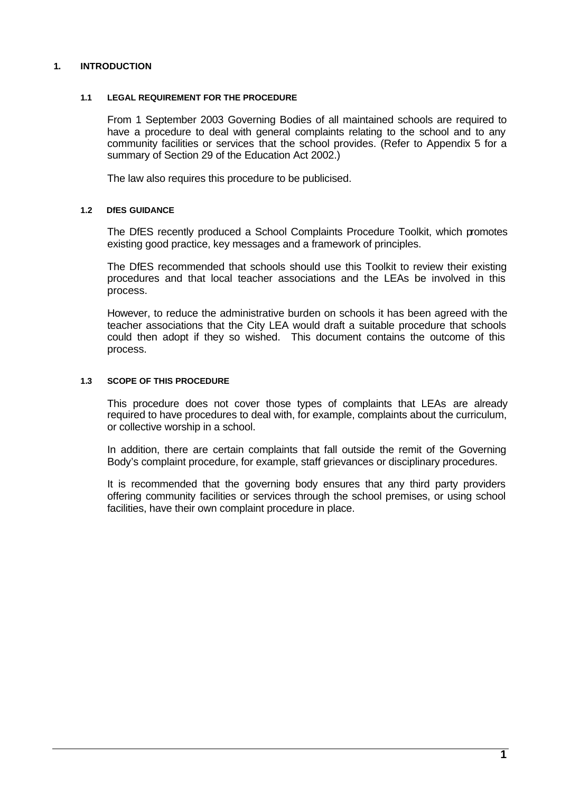# **1. INTRODUCTION**

# **1.1 LEGAL REQUIREMENT FOR THE PROCEDURE**

From 1 September 2003 Governing Bodies of all maintained schools are required to have a procedure to deal with general complaints relating to the school and to any community facilities or services that the school provides. (Refer to Appendix 5 for a summary of Section 29 of the Education Act 2002.)

The law also requires this procedure to be publicised.

# **1.2 DfES GUIDANCE**

The DfES recently produced a School Complaints Procedure Toolkit, which promotes existing good practice, key messages and a framework of principles.

The DfES recommended that schools should use this Toolkit to review their existing procedures and that local teacher associations and the LEAs be involved in this process.

However, to reduce the administrative burden on schools it has been agreed with the teacher associations that the City LEA would draft a suitable procedure that schools could then adopt if they so wished. This document contains the outcome of this process.

# **1.3 SCOPE OF THIS PROCEDURE**

This procedure does not cover those types of complaints that LEAs are already required to have procedures to deal with, for example, complaints about the curriculum, or collective worship in a school.

In addition, there are certain complaints that fall outside the remit of the Governing Body's complaint procedure, for example, staff grievances or disciplinary procedures.

It is recommended that the governing body ensures that any third party providers offering community facilities or services through the school premises, or using school facilities, have their own complaint procedure in place.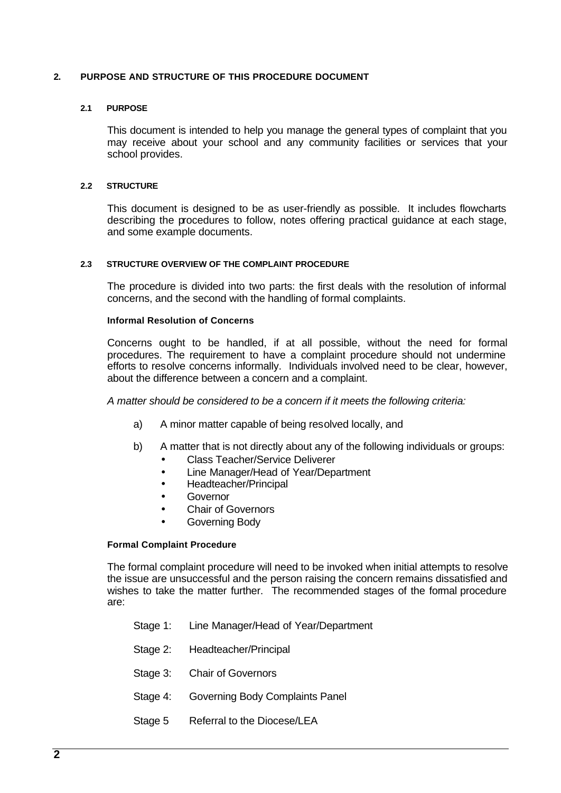# **2. PURPOSE AND STRUCTURE OF THIS PROCEDURE DOCUMENT**

# **2.1 PURPOSE**

This document is intended to help you manage the general types of complaint that you may receive about your school and any community facilities or services that your school provides.

#### **2.2 STRUCTURE**

This document is designed to be as user-friendly as possible. It includes flowcharts describing the procedures to follow, notes offering practical guidance at each stage, and some example documents.

#### **2.3 STRUCTURE OVERVIEW OF THE COMPLAINT PROCEDURE**

The procedure is divided into two parts: the first deals with the resolution of informal concerns, and the second with the handling of formal complaints.

#### **Informal Resolution of Concerns**

Concerns ought to be handled, if at all possible, without the need for formal procedures. The requirement to have a complaint procedure should not undermine efforts to resolve concerns informally. Individuals involved need to be clear, however, about the difference between a concern and a complaint.

*A matter should be considered to be a concern if it meets the following criteria:*

- a) A minor matter capable of being resolved locally, and
- b) A matter that is not directly about any of the following individuals or groups: • Class Teacher/Service Deliverer
	- Line Manager/Head of Year/Department
	- Headteacher/Principal
	- Governor
	- Chair of Governors
	- Governing Body

# **Formal Complaint Procedure**

The formal complaint procedure will need to be invoked when initial attempts to resolve the issue are unsuccessful and the person raising the concern remains dissatisfied and wishes to take the matter further. The recommended stages of the formal procedure are:

- Stage 1: Line Manager/Head of Year/Department
- Stage 2: Headteacher/Principal
- Stage 3: Chair of Governors
- Stage 4: Governing Body Complaints Panel
- Stage 5 Referral to the Diocese/LEA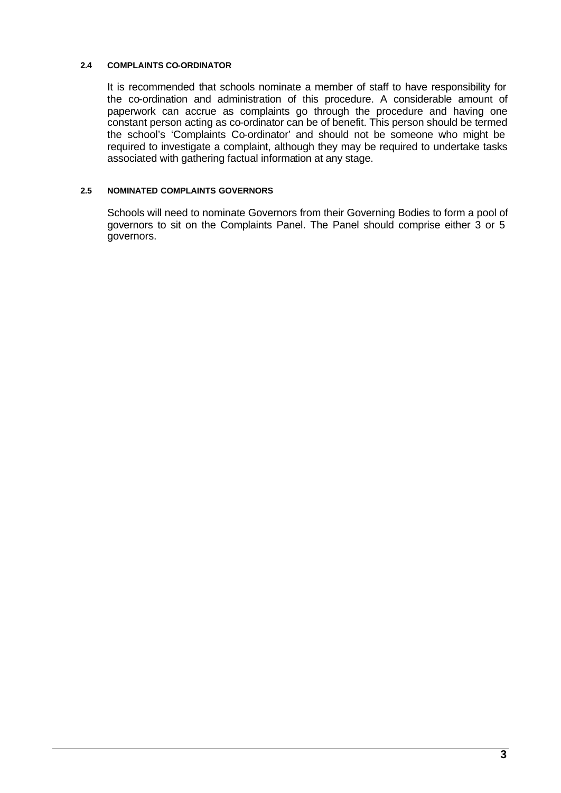# **2.4 COMPLAINTS CO-ORDINATOR**

It is recommended that schools nominate a member of staff to have responsibility for the co-ordination and administration of this procedure. A considerable amount of paperwork can accrue as complaints go through the procedure and having one constant person acting as co-ordinator can be of benefit. This person should be termed the school's 'Complaints Co-ordinator' and should not be someone who might be required to investigate a complaint, although they may be required to undertake tasks associated with gathering factual information at any stage.

# **2.5 NOMINATED COMPLAINTS GOVERNORS**

Schools will need to nominate Governors from their Governing Bodies to form a pool of governors to sit on the Complaints Panel. The Panel should comprise either 3 or 5 governors.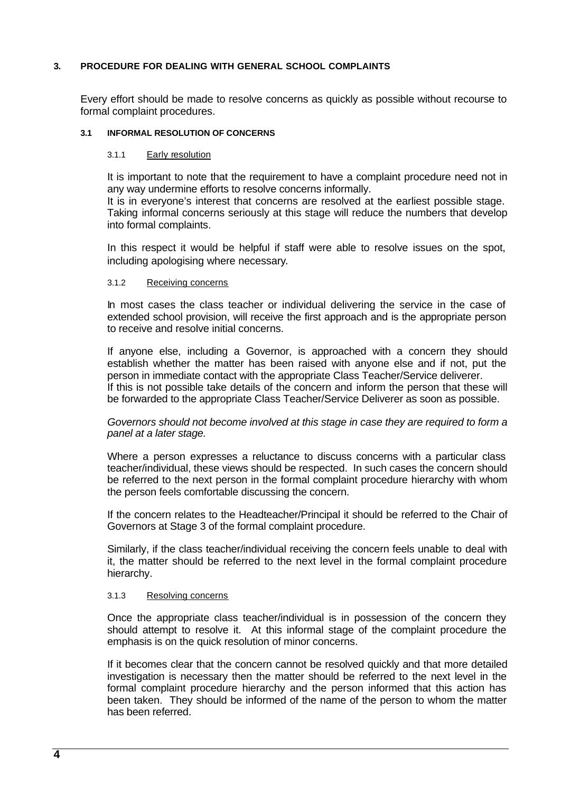# **3. PROCEDURE FOR DEALING WITH GENERAL SCHOOL COMPLAINTS**

Every effort should be made to resolve concerns as quickly as possible without recourse to formal complaint procedures.

# **3.1 INFORMAL RESOLUTION OF CONCERNS**

#### 3.1.1 Early resolution

It is important to note that the requirement to have a complaint procedure need not in any way undermine efforts to resolve concerns informally.

It is in everyone's interest that concerns are resolved at the earliest possible stage. Taking informal concerns seriously at this stage will reduce the numbers that develop into formal complaints.

In this respect it would be helpful if staff were able to resolve issues on the spot, including apologising where necessary.

#### 3.1.2 Receiving concerns

In most cases the class teacher or individual delivering the service in the case of extended school provision, will receive the first approach and is the appropriate person to receive and resolve initial concerns.

If anyone else, including a Governor, is approached with a concern they should establish whether the matter has been raised with anyone else and if not, put the person in immediate contact with the appropriate Class Teacher/Service deliverer. If this is not possible take details of the concern and inform the person that these will be forwarded to the appropriate Class Teacher/Service Deliverer as soon as possible.

# *Governors should not become involved at this stage in case they are required to form a panel at a later stage.*

Where a person expresses a reluctance to discuss concerns with a particular class teacher/individual, these views should be respected. In such cases the concern should be referred to the next person in the formal complaint procedure hierarchy with whom the person feels comfortable discussing the concern.

If the concern relates to the Headteacher/Principal it should be referred to the Chair of Governors at Stage 3 of the formal complaint procedure.

Similarly, if the class teacher/individual receiving the concern feels unable to deal with it, the matter should be referred to the next level in the formal complaint procedure hierarchy.

# 3.1.3 Resolving concerns

Once the appropriate class teacher/individual is in possession of the concern they should attempt to resolve it. At this informal stage of the complaint procedure the emphasis is on the quick resolution of minor concerns.

If it becomes clear that the concern cannot be resolved quickly and that more detailed investigation is necessary then the matter should be referred to the next level in the formal complaint procedure hierarchy and the person informed that this action has been taken. They should be informed of the name of the person to whom the matter has been referred.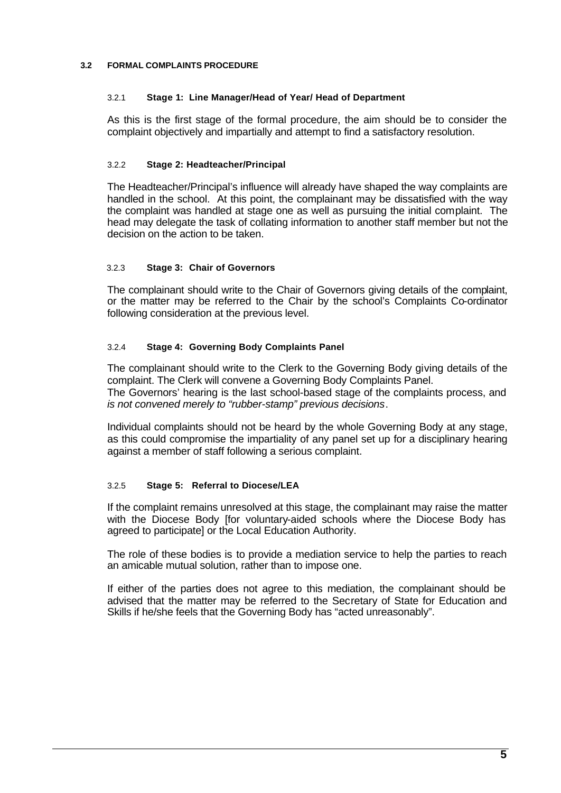# **3.2 FORMAL COMPLAINTS PROCEDURE**

# 3.2.1 **Stage 1: Line Manager/Head of Year/ Head of Department**

As this is the first stage of the formal procedure, the aim should be to consider the complaint objectively and impartially and attempt to find a satisfactory resolution.

# 3.2.2 **Stage 2: Headteacher/Principal**

The Headteacher/Principal's influence will already have shaped the way complaints are handled in the school. At this point, the complainant may be dissatisfied with the way the complaint was handled at stage one as well as pursuing the initial complaint. The head may delegate the task of collating information to another staff member but not the decision on the action to be taken.

# 3.2.3 **Stage 3: Chair of Governors**

The complainant should write to the Chair of Governors giving details of the complaint, or the matter may be referred to the Chair by the school's Complaints Co-ordinator following consideration at the previous level.

# 3.2.4 **Stage 4: Governing Body Complaints Panel**

The complainant should write to the Clerk to the Governing Body giving details of the complaint. The Clerk will convene a Governing Body Complaints Panel. The Governors' hearing is the last school-based stage of the complaints process, and *is not convened merely to "rubber-stamp" previous decisions*.

Individual complaints should not be heard by the whole Governing Body at any stage, as this could compromise the impartiality of any panel set up for a disciplinary hearing against a member of staff following a serious complaint.

# 3.2.5 **Stage 5: Referral to Diocese/LEA**

If the complaint remains unresolved at this stage, the complainant may raise the matter with the Diocese Body [for voluntary-aided schools where the Diocese Body has agreed to participate] or the Local Education Authority.

The role of these bodies is to provide a mediation service to help the parties to reach an amicable mutual solution, rather than to impose one.

If either of the parties does not agree to this mediation, the complainant should be advised that the matter may be referred to the Secretary of State for Education and Skills if he/she feels that the Governing Body has "acted unreasonably".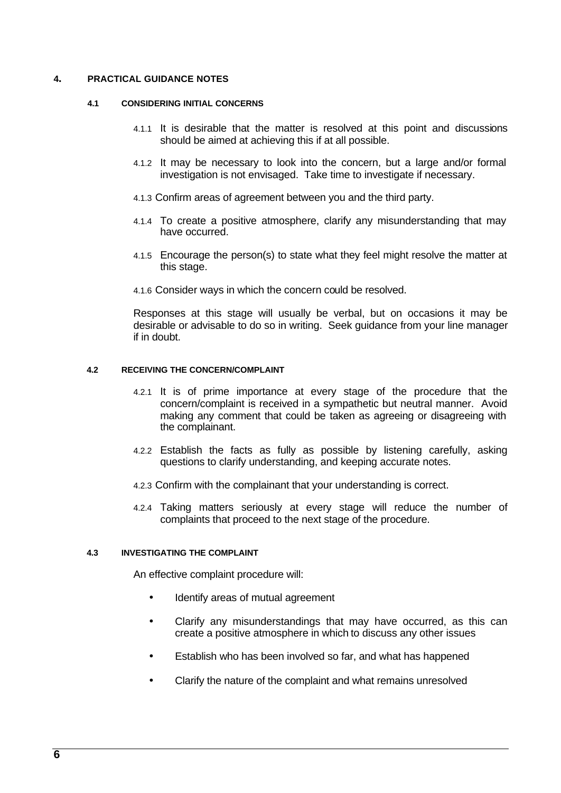# **4. PRACTICAL GUIDANCE NOTES**

#### **4.1 CONSIDERING INITIAL CONCERNS**

- 4.1.1 It is desirable that the matter is resolved at this point and discussions should be aimed at achieving this if at all possible.
- 4.1.2 It may be necessary to look into the concern, but a large and/or formal investigation is not envisaged. Take time to investigate if necessary.
- 4.1.3 Confirm areas of agreement between you and the third party.
- 4.1.4 To create a positive atmosphere, clarify any misunderstanding that may have occurred.
- 4.1.5 Encourage the person(s) to state what they feel might resolve the matter at this stage.
- 4.1.6 Consider ways in which the concern could be resolved.

Responses at this stage will usually be verbal, but on occasions it may be desirable or advisable to do so in writing. Seek guidance from your line manager if in doubt.

# **4.2 RECEIVING THE CONCERN/COMPLAINT**

- 4.2.1 It is of prime importance at every stage of the procedure that the concern/complaint is received in a sympathetic but neutral manner. Avoid making any comment that could be taken as agreeing or disagreeing with the complainant.
- 4.2.2 Establish the facts as fully as possible by listening carefully, asking questions to clarify understanding, and keeping accurate notes.
- 4.2.3 Confirm with the complainant that your understanding is correct.
- 4.2.4 Taking matters seriously at every stage will reduce the number of complaints that proceed to the next stage of the procedure.

# **4.3 INVESTIGATING THE COMPLAINT**

An effective complaint procedure will:

- Identify areas of mutual agreement
- Clarify any misunderstandings that may have occurred, as this can create a positive atmosphere in which to discuss any other issues
- Establish who has been involved so far, and what has happened
- Clarify the nature of the complaint and what remains unresolved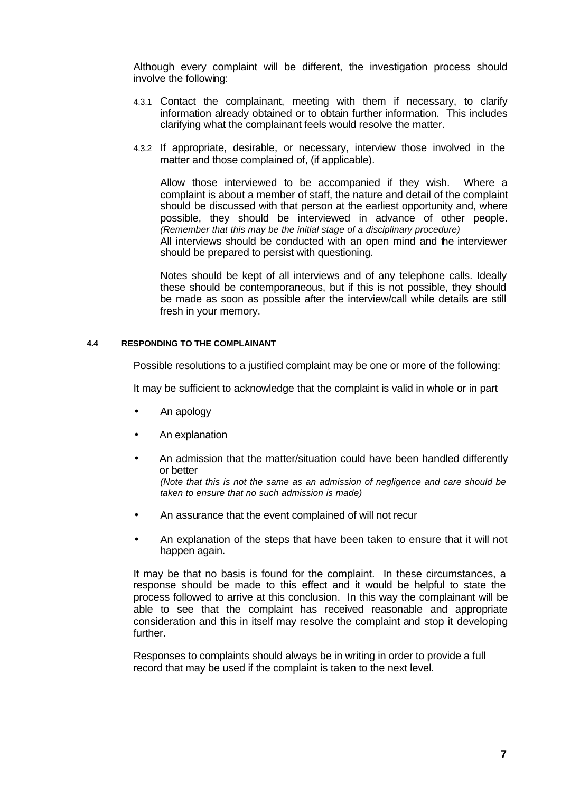Although every complaint will be different, the investigation process should involve the following:

- 4.3.1 Contact the complainant, meeting with them if necessary, to clarify information already obtained or to obtain further information. This includes clarifying what the complainant feels would resolve the matter.
- 4.3.2 If appropriate, desirable, or necessary, interview those involved in the matter and those complained of, (if applicable).

Allow those interviewed to be accompanied if they wish. Where a complaint is about a member of staff, the nature and detail of the complaint should be discussed with that person at the earliest opportunity and, where possible, they should be interviewed in advance of other people. *(Remember that this may be the initial stage of a disciplinary procedure)* All interviews should be conducted with an open mind and the interviewer should be prepared to persist with questioning.

Notes should be kept of all interviews and of any telephone calls. Ideally these should be contemporaneous, but if this is not possible, they should be made as soon as possible after the interview/call while details are still fresh in your memory.

#### **4.4 RESPONDING TO THE COMPLAINANT**

Possible resolutions to a justified complaint may be one or more of the following:

It may be sufficient to acknowledge that the complaint is valid in whole or in part

- An apology
- An explanation
- An admission that the matter/situation could have been handled differently or better *(Note that this is not the same as an admission of negligence and care should be*

*taken to ensure that no such admission is made)*

- An assurance that the event complained of will not recur
- An explanation of the steps that have been taken to ensure that it will not happen again.

It may be that no basis is found for the complaint. In these circumstances, a response should be made to this effect and it would be helpful to state the process followed to arrive at this conclusion. In this way the complainant will be able to see that the complaint has received reasonable and appropriate consideration and this in itself may resolve the complaint and stop it developing further.

Responses to complaints should always be in writing in order to provide a full record that may be used if the complaint is taken to the next level.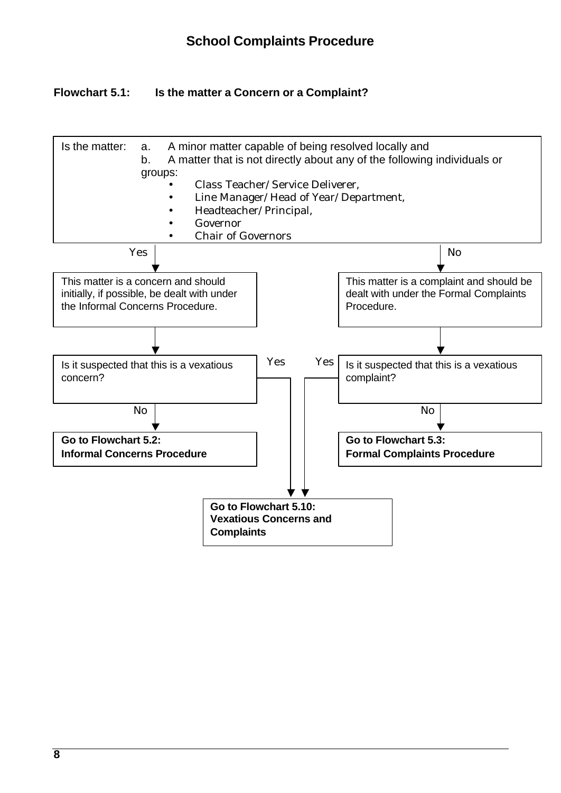# **Flowchart 5.1: Is the matter a Concern or a Complaint?**

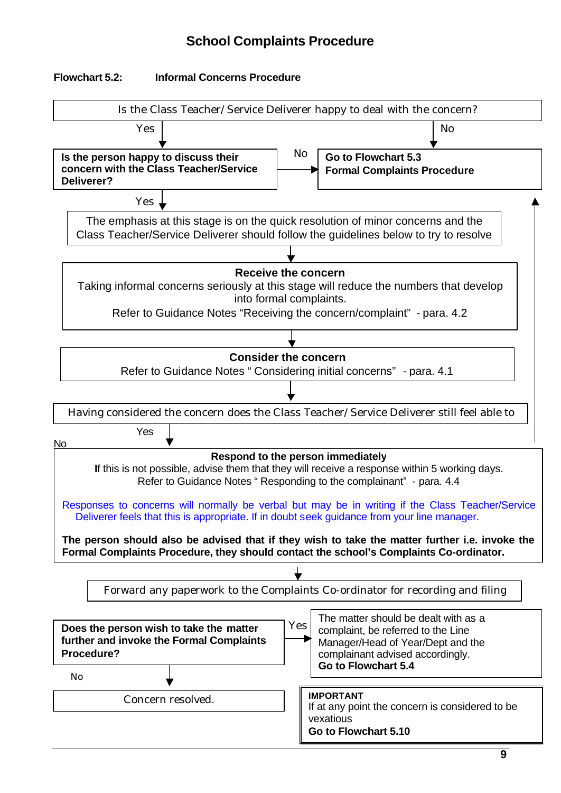# **School Complaints Procedure**

# **Flowchart 5.2: Informal Concerns Procedure**

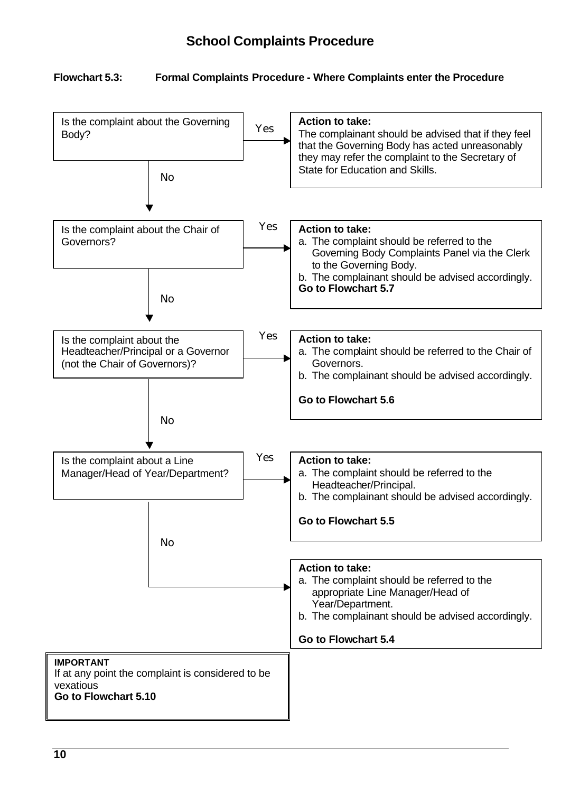# **Flowchart 5.3: Formal Complaints Procedure - Where Complaints enter the Procedure**

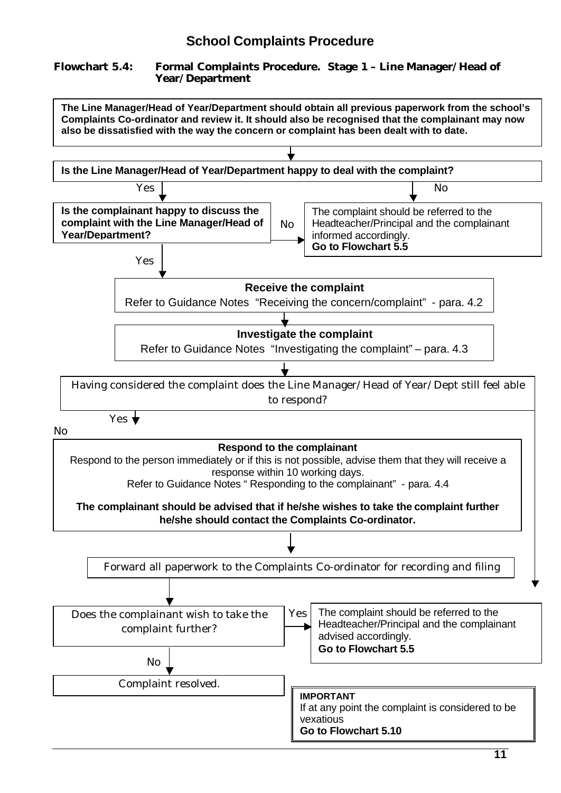# **Flowchart 5.4: Formal Complaints Procedure. Stage 1 – Line Manager/Head of Year/Department**

**The Line Manager/Head of Year/Department should obtain all previous paperwork from the school's Complaints Co-ordinator and review it. It should also be recognised that the complainant may now also be dissatisfied with the way the concern or complaint has been dealt with to date.** 

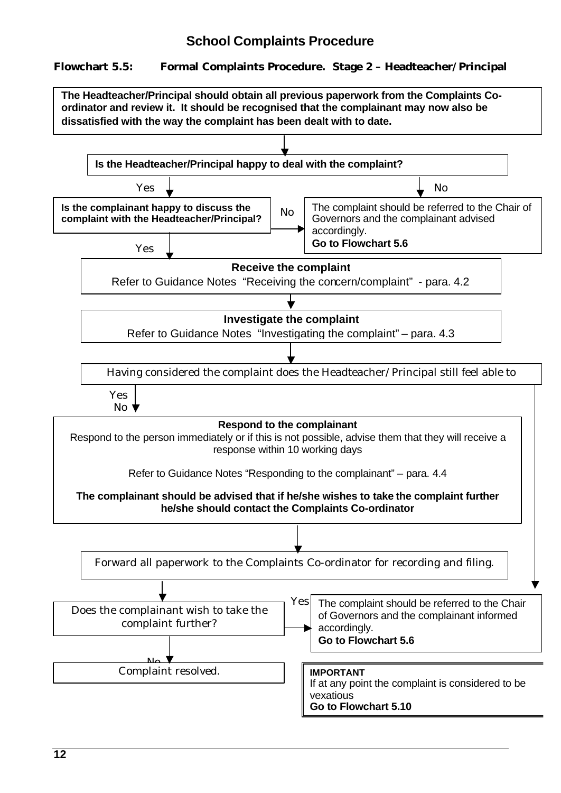# **School Complaints Procedure**

# **Flowchart 5.5: Formal Complaints Procedure. Stage 2 – Headteacher/Principal**

**The Headteacher/Principal should obtain all previous paperwork from the Complaints Coordinator and review it. It should be recognised that the complainant may now also be dissatisfied with the way the complaint has been dealt with to date.** 

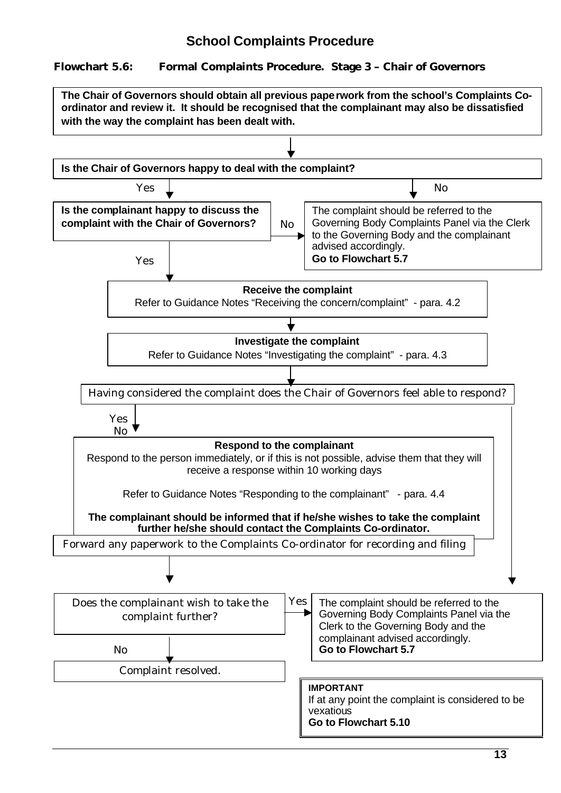# **Flowchart 5.6: Formal Complaints Procedure. Stage 3 – Chair of Governors**

 $Yes \tightharpoonup$  No No Yes Yes No Yes No **Is the Chair of Governors happy to deal with the complaint? Receive the complaint** Refer to Guidance Notes "Receiving the concern/complaint" - para. 4.2 **Investigate the complaint** Refer to Guidance Notes "Investigating the complaint" - para. 4.3 Having considered the complaint does the Chair of Governors feel able to respond? **Respond to the complainant**  Respond to the person immediately, or if this is not possible, advise them that they will receive a response within 10 working days Refer to Guidance Notes "Responding to the complainant" - para. 4.4 **The complainant should be informed that if he/she wishes to take the complaint further he/she should contact the Complaints Co-ordinator. The Chair of Governors should obtain all previous paperwork from the school's Complaints Coordinator and review it. It should be recognised that the complainant may also be dissatisfied with the way the complaint has been dealt with. Is the complainant happy to discuss the complaint with the Chair of Governors?** The complaint should be referred to the Governing Body Complaints Panel via the Clerk to the Governing Body and the complainant advised accordingly. **Go to Flowchart 5.7** Forward any paperwork to the Complaints Co-ordinator for recording and filing Does the complainant wish to take the complaint further? Complaint resolved. The complaint should be referred to the Governing Body Complaints Panel via the Clerk to the Governing Body and the complainant advised accordingly. **Go to Flowchart 5.7 IMPORTANT** If at any point the complaint is considered to be vexatious **Go to Flowchart 5.10**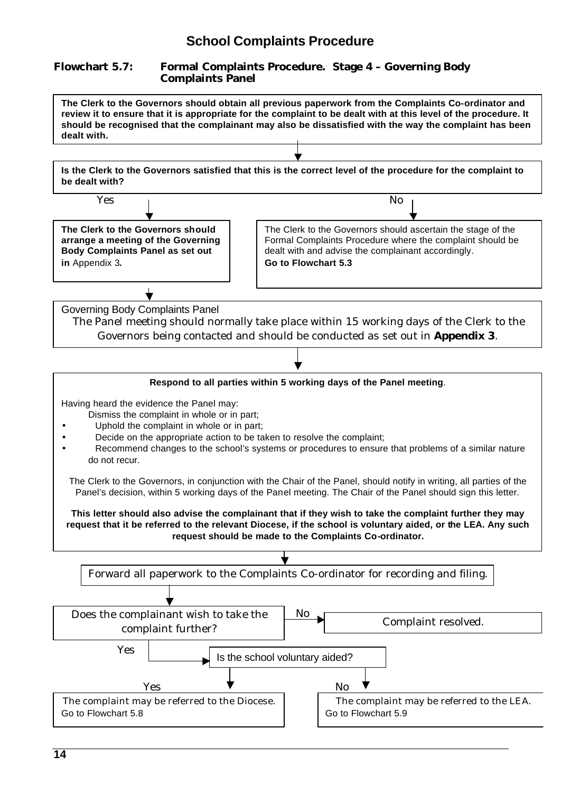# **Flowchart 5.7: Formal Complaints Procedure. Stage 4 – Governing Body Complaints Panel**

**The Clerk to the Governors should obtain all previous paperwork from the Complaints Co-ordinator and review it to ensure that it is appropriate for the complaint to be dealt with at this level of the procedure. It should be recognised that the complainant may also be dissatisfied with the way the complaint has been dealt with.** 

**Is the Clerk to the Governors satisfied that this is the correct level of the procedure for the complaint to be dealt with?**



Having heard the evidence the Panel may:

- Dismiss the complaint in whole or in part;
- Uphold the complaint in whole or in part;
- Decide on the appropriate action to be taken to resolve the complaint;
- Recommend changes to the school's systems or procedures to ensure that problems of a similar nature do not recur.

The Clerk to the Governors, in conjunction with the Chair of the Panel, should notify in writing, all parties of the Panel's decision, within 5 working days of the Panel meeting. The Chair of the Panel should sign this letter.

**This letter should also advise the complainant that if they wish to take the complaint further they may request that it be referred to the relevant Diocese, if the school is voluntary aided, or the LEA. Any such request should be made to the Complaints Co-ordinator.**

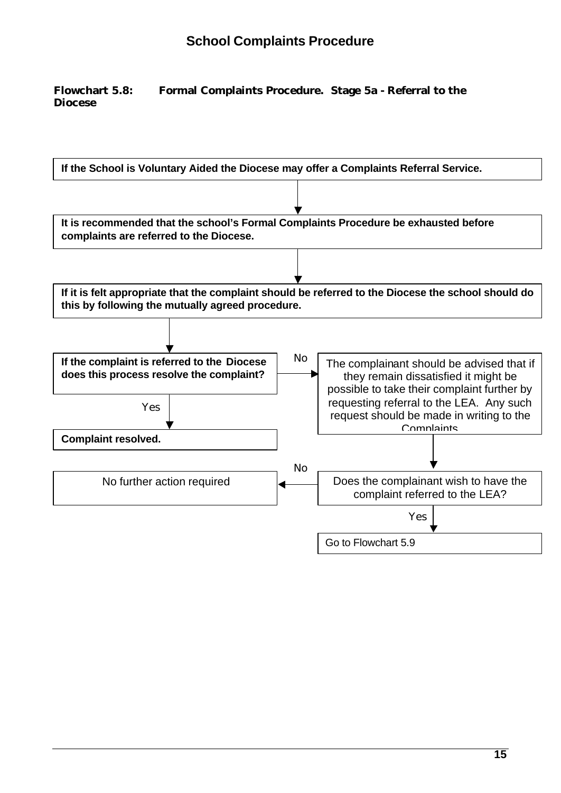# **Flowchart 5.8: Formal Complaints Procedure. Stage 5a - Referral to the Diocese**

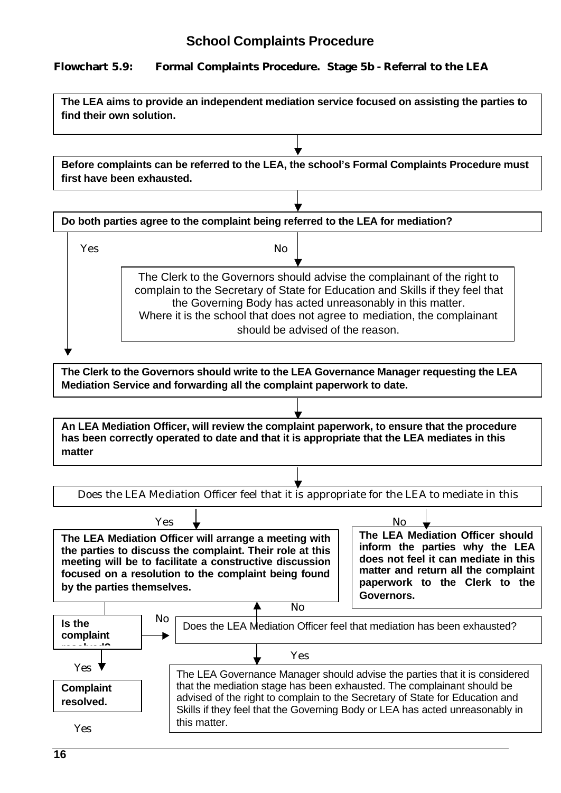# **Flowchart 5.9: Formal Complaints Procedure. Stage 5b - Referral to the LEA**

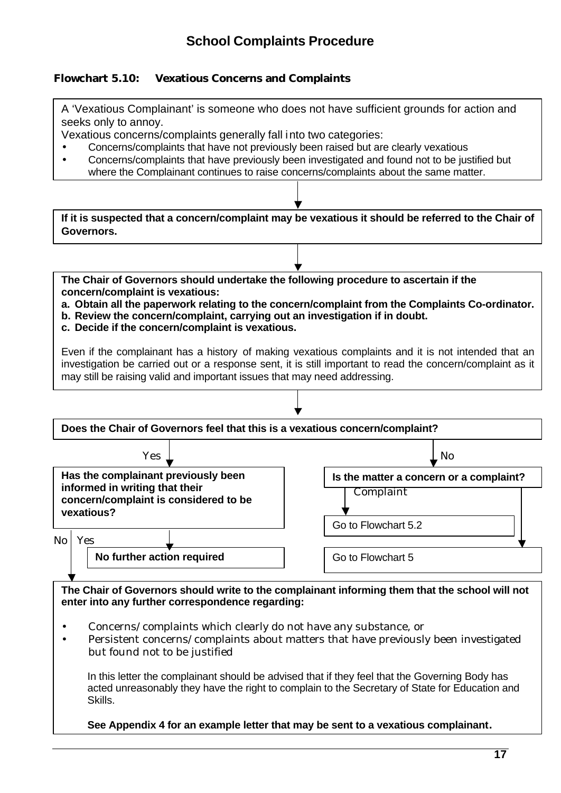# **Flowchart 5.10: Vexatious Concerns and Complaints**

A 'Vexatious Complainant' is someone who does not have sufficient grounds for action and seeks only to annoy.

Vexatious concerns/complaints generally fall into two categories:

- Concerns/complaints that have not previously been raised but are clearly vexatious
- Concerns/complaints that have previously been investigated and found not to be justified but where the Complainant continues to raise concerns/complaints about the same matter.

**If it is suspected that a concern/complaint may be vexatious it should be referred to the Chair of Governors.**

**The Chair of Governors should undertake the following procedure to ascertain if the concern/complaint is vexatious:**

**a. Obtain all the paperwork relating to the concern/complaint from the Complaints Co-ordinator.**

- **b. Review the concern/complaint, carrying out an investigation if in doubt.**
- **c. Decide if the concern/complaint is vexatious.**

Even if the complainant has a history of making vexatious complaints and it is not intended that an investigation be carried out or a response sent, it is still important to read the concern/complaint as it may still be raising valid and important issues that may need addressing.



**The Chair of Governors should write to the complainant informing them that the school will not enter into any further correspondence regarding:**

- Concerns/complaints which clearly do not have any substance, or
- Persistent concerns/complaints about matters that have previously been investigated but found not to be justified

In this letter the complainant should be advised that if they feel that the Governing Body has acted unreasonably they have the right to complain to the Secretary of State for Education and Skills.

**See Appendix 4 for an example letter that may be sent to a vexatious complainant.**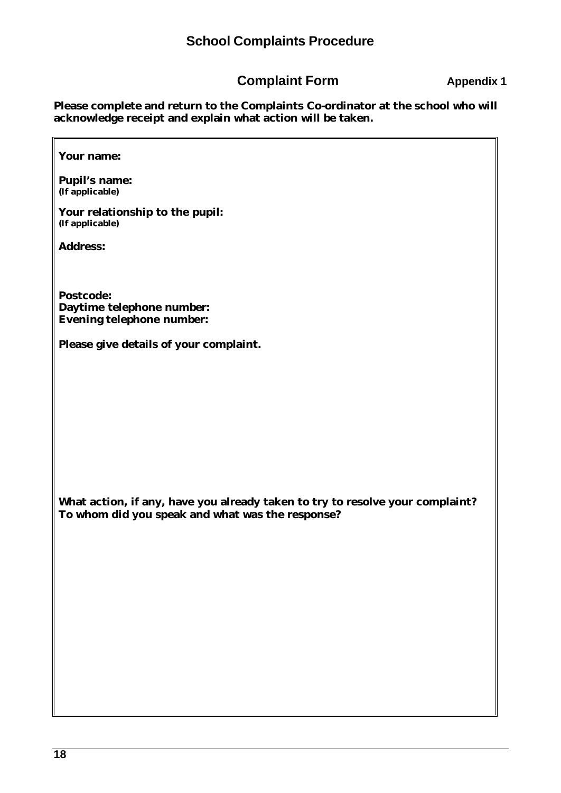# **Complaint Form Appendix 1**

**Please complete and return to the Complaints Co-ordinator at the school who will acknowledge receipt and explain what action will be taken.**

# **Your name:**

**Pupil's name: (If applicable)**

**Your relationship to the pupil: (If applicable)**

**Address:**

**Postcode: Daytime telephone number: Evening telephone number:**

**Please give details of your complaint.**

**What action, if any, have you already taken to try to resolve your complaint? To whom did you speak and what was the response?**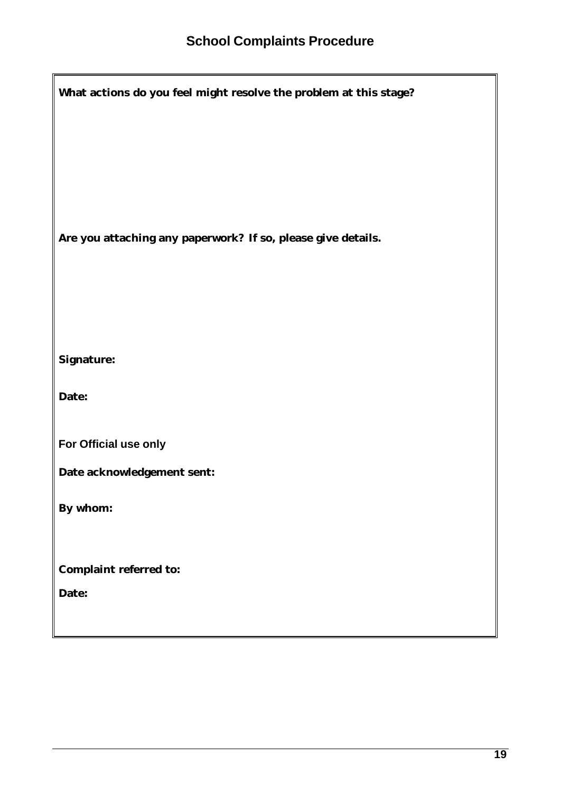| What actions do you feel might resolve the problem at this stage? |  |  |  |  |
|-------------------------------------------------------------------|--|--|--|--|
|                                                                   |  |  |  |  |
|                                                                   |  |  |  |  |
|                                                                   |  |  |  |  |
| Are you attaching any paperwork? If so, please give details.      |  |  |  |  |
|                                                                   |  |  |  |  |
|                                                                   |  |  |  |  |
|                                                                   |  |  |  |  |
| <b>Signature:</b>                                                 |  |  |  |  |
| Date:                                                             |  |  |  |  |
| For Official use only                                             |  |  |  |  |
| Date acknowledgement sent:                                        |  |  |  |  |
| By whom:                                                          |  |  |  |  |
|                                                                   |  |  |  |  |
| <b>Complaint referred to:</b>                                     |  |  |  |  |
| Date:                                                             |  |  |  |  |
|                                                                   |  |  |  |  |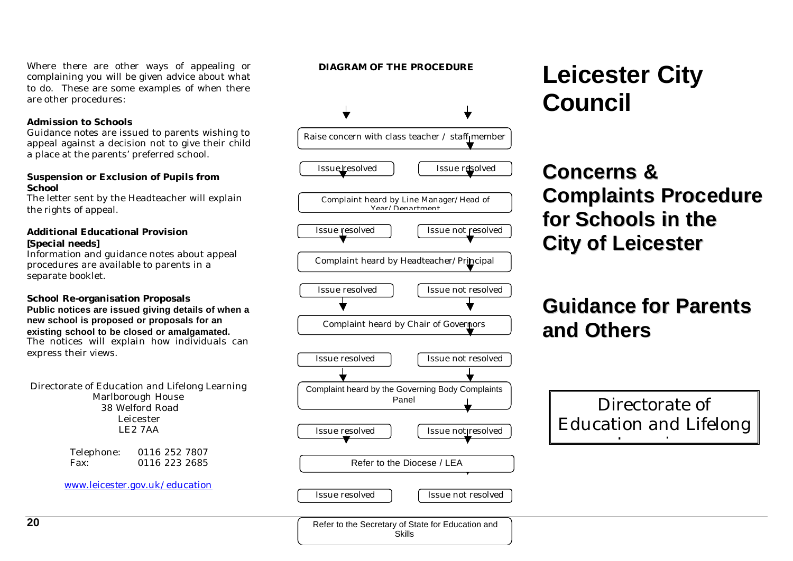Complaint heard by Headteacher/Principal Complaint heard by the Governing Body Complaints Panel Issue resolved  $\parallel$  [ Issue not resolved Issue resolved  $\int$  Issue not resolved Complaint heard by Chair of Governors Issue resolved  $\parallel$  [ Issue not resolved

 $\downarrow$ 

# **DIAGRAM OF THE PROCEDURE Leicester City Council**

# **Concerns & Complaints Procedure for Schools in the City of Leicester**

# **Guidance for Parents and Others**



Where there are other ways of appealing or complaining you will be given advice about what to do. These are some examples of when there are other procedures:

# **Admission to Schools**

Guidance notes are issued to parents wishing to appeal against a decision not to give their child a place at the parents' preferred school.

# **Suspension or Exclusion of Pupils from School**

The letter sent by the Headteacher will explain the rights of appeal.

# **Additional Educational Provision [Special needs]**

Information and guidance notes about appeal procedures are available to parents in a separate booklet.

# **School Re-organisation Proposals**

#### **Public notices are issued giving details of when a new school is proposed or proposals for an existing school to be closed or amalgamated.** The notices will explain how individuals can

express their views.

Directorate of Education and Lifelong Learning Marlborough House 38 Welford Road Leicester LE2 7AA

> Telephone: 0116 252 7807 Fax: 0116 223 2685

www.leicester.gov.uk/education

Issue resolved | | | Issue not resolved

Refer to the Diocese / LEA

Raise concern with class teacher  $/$  staff member

Issue resolved  $\int$  Issue resolved

Complaint heard by Line Manager/Head of Year/Department

Issue resolved  $\parallel$  [ Issue not resolved

Refer to the Secretary of State for Education and Skills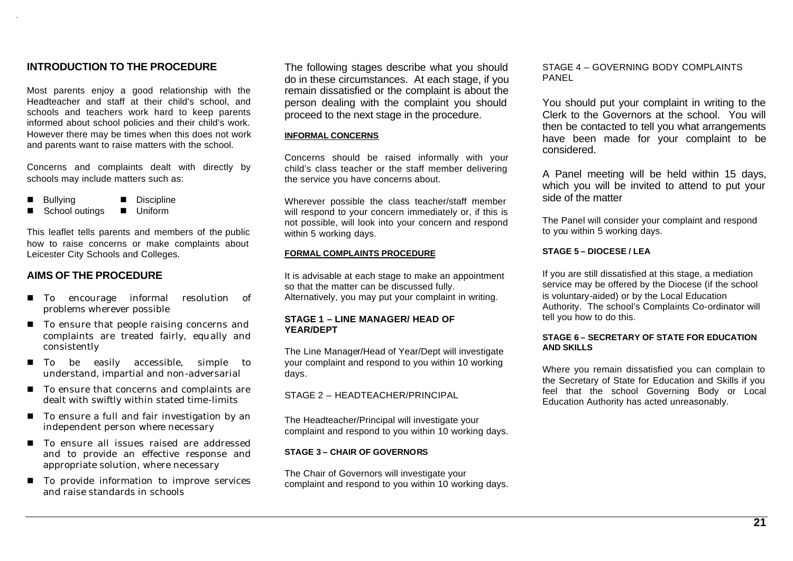# **INTRODUCTION TO THE PROCEDURE**

Most parents enjoy a good relationship with the Headteacher and staff at their child's school, and schools and teachers work hard to keep parents informed about school policies and their child's work. However there may be times when this does not work and parents want to raise matters with the school.

Concerns and complaints dealt with directly by schools may include matters such as:

- Bullying **n** Discipline
- School outings **n** Uniform

This leaflet tells parents and members of the public how to raise concerns or make complaints about Leicester City Schools and Colleges.

# **AIMS OF THE PROCEDURE**

- $\blacksquare$  To encourage informal resolution of problems wherever possible
- To ensure that people raising concerns and complaints are treated fairly, equally and consistently
- To be easily accessible, simple to understand, impartial and non-adversarial
- To ensure that concerns and complaints are dealt with swiftly within stated time-limits
- To ensure a full and fair investigation by an independent person where necessary
- To ensure all issues raised are addressed and to provide an effective response and appropriate solution, where necessary
- $\blacksquare$  To provide information to improve services and raise standards in schools

The following stages describe what you should do in these circumstances. At each stage, if you remain dissatisfied or the complaint is about the person dealing with the complaint you should proceed to the next stage in the procedure.

#### **INFORMAL CONCERNS**

Concerns should be raised informally with your child's class teacher or the staff member delivering the service you have concerns about.

Wherever possible the class teacher/staff member will respond to your concern immediately or, if this is not possible, will look into your concern and respond within 5 working days.

#### **FORMAL COMPLAINTS PROCEDURE**

It is advisable at each stage to make an appointment so that the matter can be discussed fully. Alternatively, you may put your complaint in writing.

#### **STAGE 1 – LINE MANAGER/ HEAD OF YEAR/DEPT**

The Line Manager/Head of Year/Dept will investigate your complaint and respond to you within 10 working days.

# STAGE 2 – HEADTEACHER/PRINCIPAL

The Headteacher/Principal will investigate your complaint and respond to you within 10 working days.

#### **STAGE 3 – CHAIR OF GOVERNORS**

The Chair of Governors will investigate your complaint and respond to you within 10 working days. STAGE 4 – GOVERNING BODY COMPLAINTS PANEL

You should put your complaint in writing to the Clerk to the Governors at the school. You will then be contacted to tell you what arrangements have been made for your complaint to be considered.

A Panel meeting will be held within 15 days, which you will be invited to attend to put your side of the matter

The Panel will consider your complaint and respond to you within 5 working days.

#### **STAGE 5 – DIOCESE / LEA**

If you are still dissatisfied at this stage, a mediation service may be offered by the Diocese (if the school is voluntary-aided) or by the Local Education Authority. The school's Complaints Co-ordinator will tell you how to do this.

#### **STAGE 6 – SECRETARY OF STATE FOR EDUCATION AND SKILLS**

Where you remain dissatisfied you can complain to the Secretary of State for Education and Skills if you feel that the school Governing Body or Local Education Authority has acted unreasonably.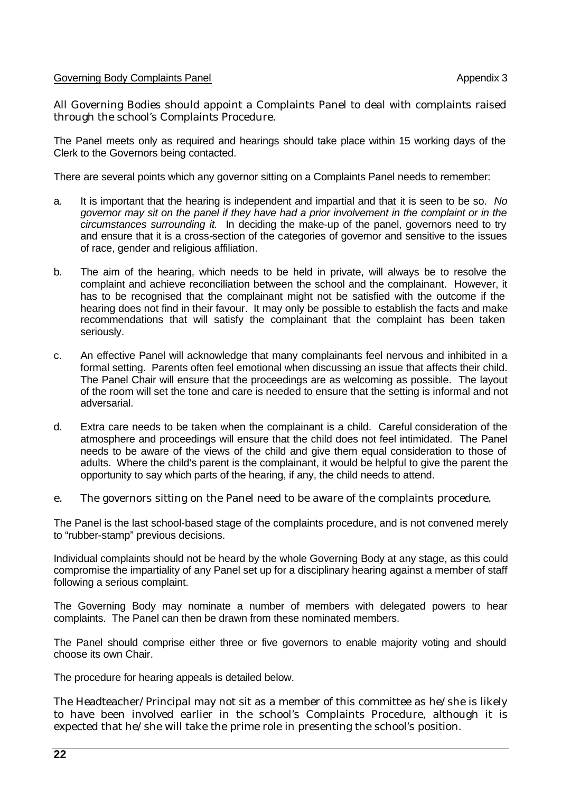# Governing Body Complaints Panel Appendix 3

All Governing Bodies should appoint a Complaints Panel to deal with complaints raised through the school's Complaints Procedure.

The Panel meets only as required and hearings should take place within 15 working days of the Clerk to the Governors being contacted.

There are several points which any governor sitting on a Complaints Panel needs to remember:

- a. It is important that the hearing is independent and impartial and that it is seen to be so. *No governor may sit on the panel if they have had a prior involvement in the complaint or in the circumstances surrounding it.* In deciding the make-up of the panel, governors need to try and ensure that it is a cross-section of the categories of governor and sensitive to the issues of race, gender and religious affiliation.
- b. The aim of the hearing, which needs to be held in private, will always be to resolve the complaint and achieve reconciliation between the school and the complainant. However, it has to be recognised that the complainant might not be satisfied with the outcome if the hearing does not find in their favour. It may only be possible to establish the facts and make recommendations that will satisfy the complainant that the complaint has been taken seriously.
- c. An effective Panel will acknowledge that many complainants feel nervous and inhibited in a formal setting. Parents often feel emotional when discussing an issue that affects their child. The Panel Chair will ensure that the proceedings are as welcoming as possible. The layout of the room will set the tone and care is needed to ensure that the setting is informal and not adversarial.
- d. Extra care needs to be taken when the complainant is a child. Careful consideration of the atmosphere and proceedings will ensure that the child does not feel intimidated. The Panel needs to be aware of the views of the child and give them equal consideration to those of adults. Where the child's parent is the complainant, it would be helpful to give the parent the opportunity to say which parts of the hearing, if any, the child needs to attend.
- e. The governors sitting on the Panel need to be aware of the complaints procedure.

The Panel is the last school-based stage of the complaints procedure, and is not convened merely to "rubber-stamp" previous decisions.

Individual complaints should not be heard by the whole Governing Body at any stage, as this could compromise the impartiality of any Panel set up for a disciplinary hearing against a member of staff following a serious complaint.

The Governing Body may nominate a number of members with delegated powers to hear complaints. The Panel can then be drawn from these nominated members.

The Panel should comprise either three or five governors to enable majority voting and should choose its own Chair.

The procedure for hearing appeals is detailed below.

The Headteacher/Principal may not sit as a member of this committee as he/she is likely to have been involved earlier in the school's Complaints Procedure, although it is expected that he/she will take the prime role in presenting the school's position.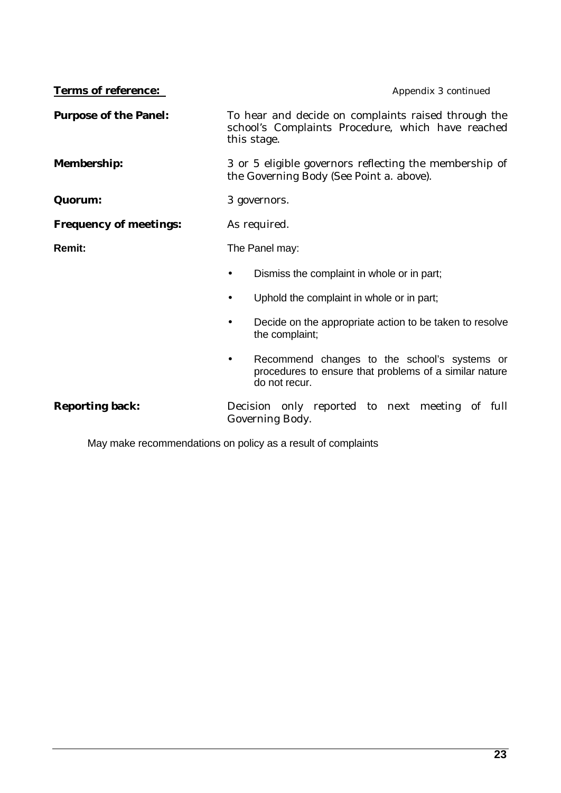| <b>Terms of reference:</b>    | Appendix 3 continued                                                                                                                 |  |
|-------------------------------|--------------------------------------------------------------------------------------------------------------------------------------|--|
| <b>Purpose of the Panel:</b>  | To hear and decide on complaints raised through the<br>school's Complaints Procedure, which have reached<br>this stage.              |  |
| <b>Membership:</b>            | 3 or 5 eligible governors reflecting the membership of<br>the Governing Body (See Point a. above).                                   |  |
| Quorum:                       | 3 governors.                                                                                                                         |  |
| <b>Frequency of meetings:</b> | As required.                                                                                                                         |  |
| <b>Remit:</b>                 | The Panel may:                                                                                                                       |  |
|                               | Dismiss the complaint in whole or in part;                                                                                           |  |
|                               | Uphold the complaint in whole or in part;<br>$\bullet$                                                                               |  |
|                               | Decide on the appropriate action to be taken to resolve<br>the complaint;                                                            |  |
|                               | Recommend changes to the school's systems or<br>$\bullet$<br>procedures to ensure that problems of a similar nature<br>do not recur. |  |
| <b>Reporting back:</b>        | Decision only reported to next meeting of full<br>Governing Body.                                                                    |  |

May make recommendations on policy as a result of complaints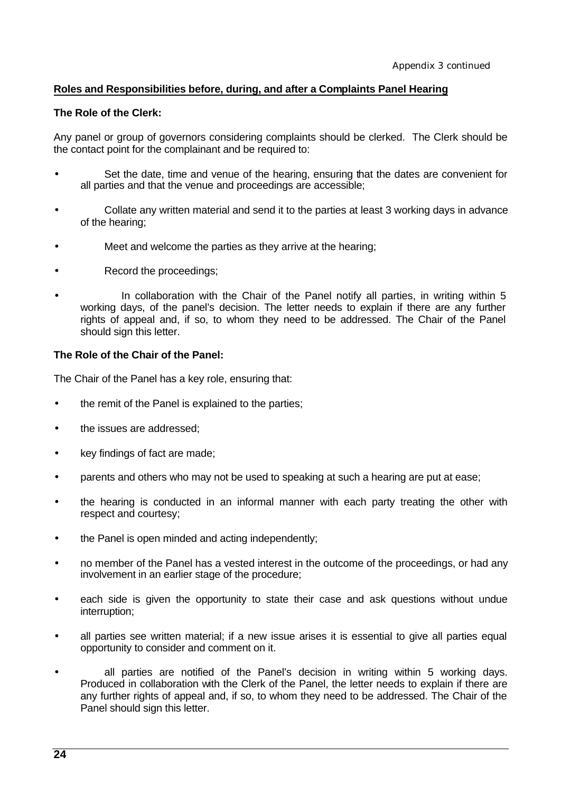# **Roles and Responsibilities before, during, and after a Complaints Panel Hearing**

# **The Role of the Clerk:**

Any panel or group of governors considering complaints should be clerked. The Clerk should be the contact point for the complainant and be required to:

- Set the date, time and venue of the hearing, ensuring that the dates are convenient for all parties and that the venue and proceedings are accessible;
- Collate any written material and send it to the parties at least 3 working days in advance of the hearing;
- Meet and welcome the parties as they arrive at the hearing;
- Record the proceedings;
- In collaboration with the Chair of the Panel notify all parties, in writing within 5 working days, of the panel's decision. The letter needs to explain if there are any further rights of appeal and, if so, to whom they need to be addressed. The Chair of the Panel should sign this letter.

# **The Role of the Chair of the Panel:**

The Chair of the Panel has a key role, ensuring that:

- the remit of the Panel is explained to the parties;
- the issues are addressed:
- key findings of fact are made;
- parents and others who may not be used to speaking at such a hearing are put at ease;
- the hearing is conducted in an informal manner with each party treating the other with respect and courtesy;
- the Panel is open minded and acting independently;
- no member of the Panel has a vested interest in the outcome of the proceedings, or had any involvement in an earlier stage of the procedure;
- each side is given the opportunity to state their case and ask questions without undue interruption;
- all parties see written material; if a new issue arises it is essential to give all parties equal opportunity to consider and comment on it.
- all parties are notified of the Panel's decision in writing within 5 working days. Produced in collaboration with the Clerk of the Panel, the letter needs to explain if there are any further rights of appeal and, if so, to whom they need to be addressed. The Chair of the Panel should sign this letter.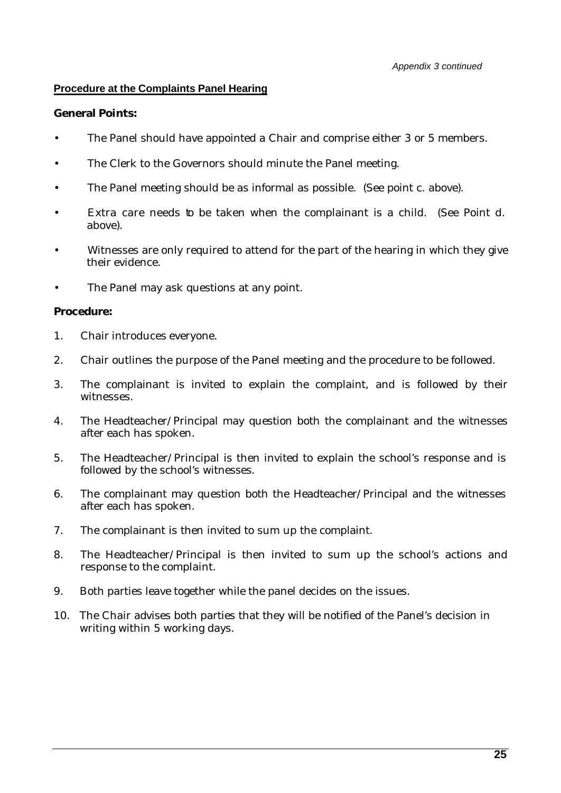# **Procedure at the Complaints Panel Hearing**

# **General Points:**

- The Panel should have appointed a Chair and comprise either 3 or 5 members.
- The Clerk to the Governors should minute the Panel meeting.
- The Panel meeting should be as informal as possible. (See point c. above).
- Extra care needs to be taken when the complainant is a child. (See Point d. above).
- Witnesses are only required to attend for the part of the hearing in which they give their evidence.
- The Panel may ask questions at any point.

# **Procedure:**

- 1. Chair introduces everyone.
- 2. Chair outlines the purpose of the Panel meeting and the procedure to be followed.
- 3. The complainant is invited to explain the complaint, and is followed by their witnesses.
- 4. The Headteacher/Principal may question both the complainant and the witnesses after each has spoken.
- 5. The Headteacher/Principal is then invited to explain the school's response and is followed by the school's witnesses.
- 6. The complainant may question both the Headteacher/Principal and the witnesses after each has spoken.
- 7. The complainant is then invited to sum up the complaint.
- 8. The Headteacher/Principal is then invited to sum up the school's actions and response to the complaint.
- 9. Both parties leave together while the panel decides on the issues.
- 10. The Chair advises both parties that they will be notified of the Panel's decision in writing within 5 working days.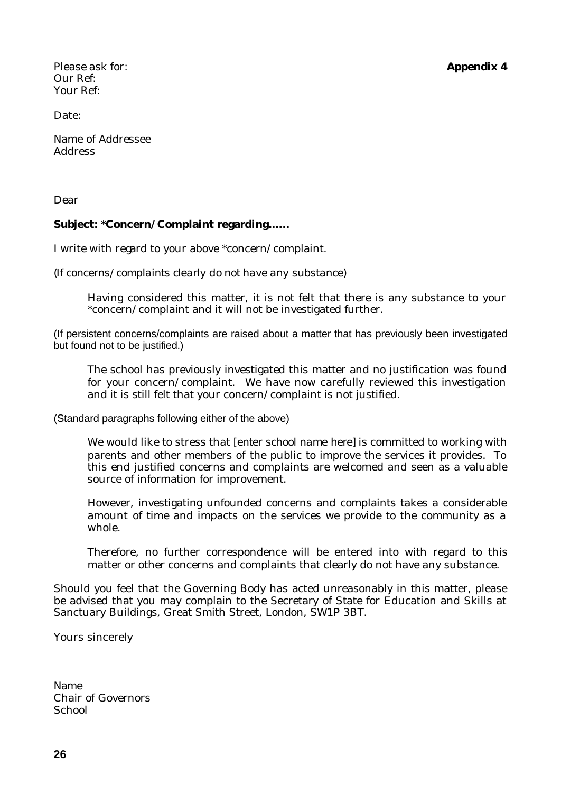Please ask for: **Appendix 4** Our Ref: Your Ref:

Date:

Name of Addressee Address

Dear

# **Subject: \*Concern/Complaint regarding.…..**

I write with regard to your above \*concern/complaint.

*(If concerns/complaints clearly do not have any substance)*

Having considered this matter, it is not felt that there is any substance to your \*concern/complaint and it will not be investigated further.

(If persistent concerns/complaints are raised about a matter that has previously been investigated but found not to be justified.)

The school has previously investigated this matter and no justification was found for your concern/complaint. We have now carefully reviewed this investigation and it is still felt that your concern/complaint is not justified.

(Standard paragraphs following either of the above)

We would like to stress that [*enter school name here*] is committed to working with parents and other members of the public to improve the services it provides. To this end justified concerns and complaints are welcomed and seen as a valuable source of information for improvement.

However, investigating unfounded concerns and complaints takes a considerable amount of time and impacts on the services we provide to the community as a whole.

Therefore, no further correspondence will be entered into with regard to this matter or other concerns and complaints that clearly do not have any substance.

Should you feel that the Governing Body has acted unreasonably in this matter, please be advised that you may complain to the Secretary of State for Education and Skills at Sanctuary Buildings, Great Smith Street, London, SW1P 3BT.

Yours sincerely

Name Chair of Governors **School**